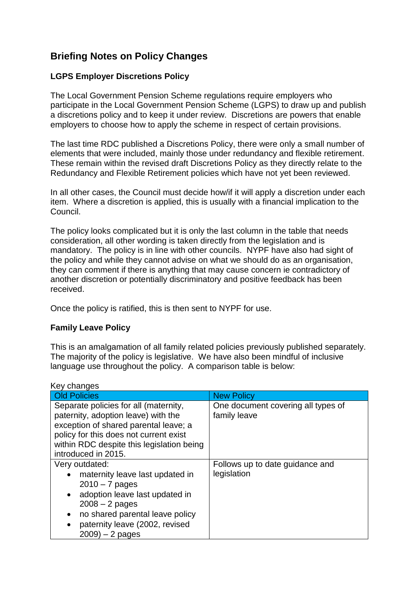## **Briefing Notes on Policy Changes**

## **LGPS Employer Discretions Policy**

The Local Government Pension Scheme regulations require employers who participate in the Local Government Pension Scheme (LGPS) to draw up and publish a discretions policy and to keep it under review. Discretions are powers that enable employers to choose how to apply the scheme in respect of certain provisions.

The last time RDC published a Discretions Policy, there were only a small number of elements that were included, mainly those under redundancy and flexible retirement. These remain within the revised draft Discretions Policy as they directly relate to the Redundancy and Flexible Retirement policies which have not yet been reviewed.

In all other cases, the Council must decide how/if it will apply a discretion under each item. Where a discretion is applied, this is usually with a financial implication to the Council.

The policy looks complicated but it is only the last column in the table that needs consideration, all other wording is taken directly from the legislation and is mandatory. The policy is in line with other councils. NYPF have also had sight of the policy and while they cannot advise on what we should do as an organisation, they can comment if there is anything that may cause concern ie contradictory of another discretion or potentially discriminatory and positive feedback has been received.

Once the policy is ratified, this is then sent to NYPF for use.

## **Family Leave Policy**

This is an amalgamation of all family related policies previously published separately. The majority of the policy is legislative. We have also been mindful of inclusive language use throughout the policy. A comparison table is below:

| Key changes                                                                                                                                                                                                                         |                                                    |
|-------------------------------------------------------------------------------------------------------------------------------------------------------------------------------------------------------------------------------------|----------------------------------------------------|
| <b>Old Policies</b>                                                                                                                                                                                                                 | <b>New Policy</b>                                  |
| Separate policies for all (maternity,<br>paternity, adoption leave) with the<br>exception of shared parental leave; a<br>policy for this does not current exist<br>within RDC despite this legislation being<br>introduced in 2015. | One document covering all types of<br>family leave |
| Very outdated:<br>maternity leave last updated in<br>$2010 - 7$ pages<br>adoption leave last updated in<br>$\bullet$<br>$2008 - 2$ pages<br>no shared parental leave policy<br>paternity leave (2002, revised<br>$2009$ ) – 2 pages | Follows up to date guidance and<br>legislation     |